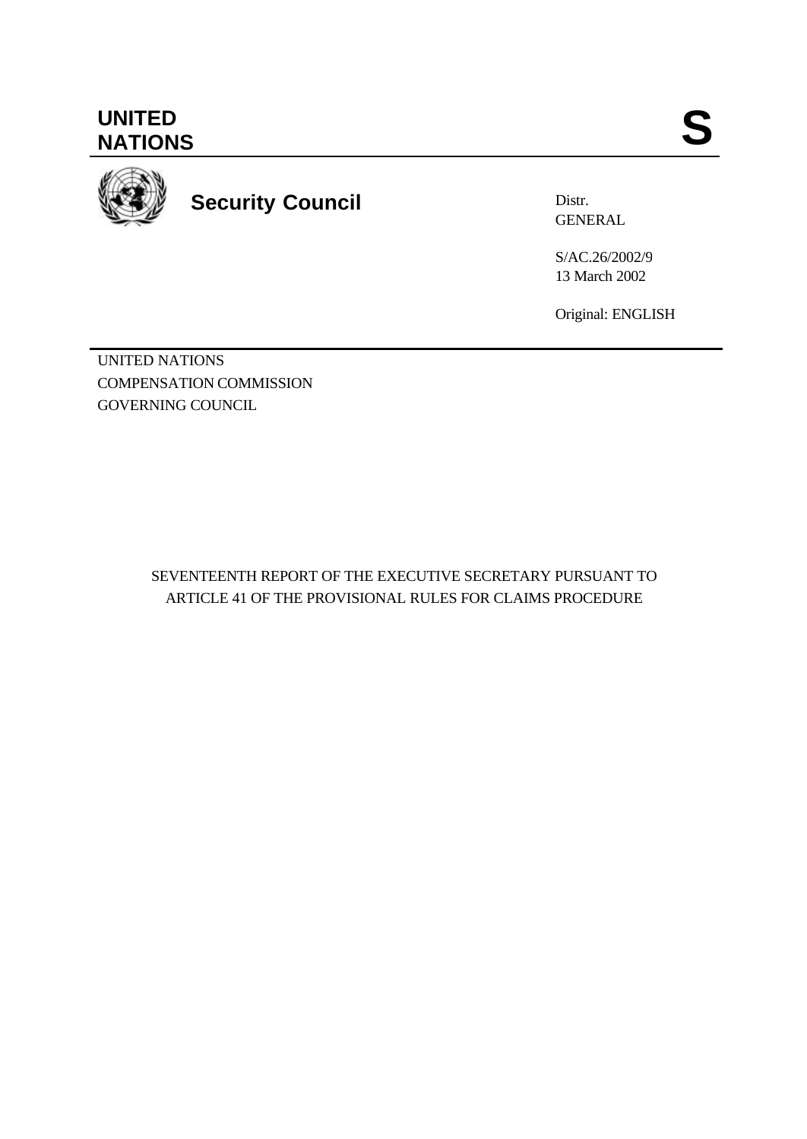**UNITED** UNITED SANTIONS



**Security Council**

Distr. GENERAL

S/AC.26/2002/9 13 March 2002

Original: ENGLISH

UNITED NATIONS COMPENSATION COMMISSION GOVERNING COUNCIL

> SEVENTEENTH REPORT OF THE EXECUTIVE SECRETARY PURSUANT TO ARTICLE 41 OF THE PROVISIONAL RULES FOR CLAIMS PROCEDURE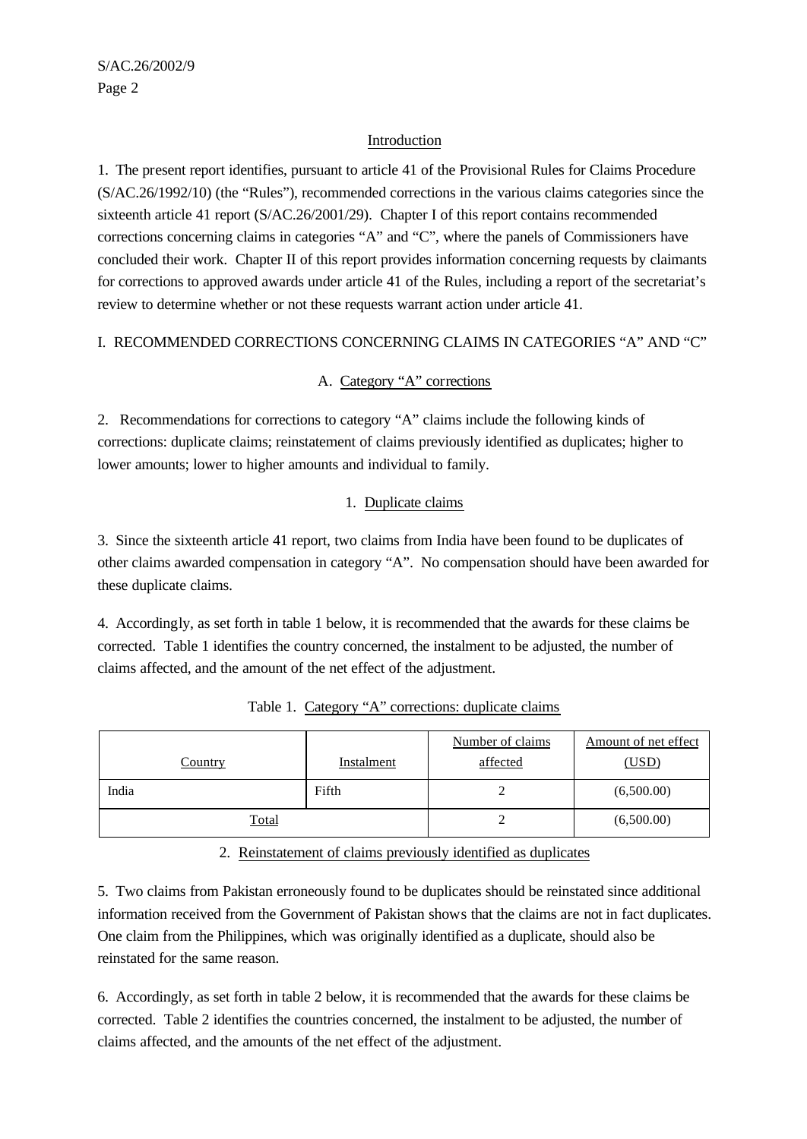### Introduction

1. The present report identifies, pursuant to article 41 of the Provisional Rules for Claims Procedure (S/AC.26/1992/10) (the "Rules"), recommended corrections in the various claims categories since the sixteenth article 41 report (S/AC.26/2001/29). Chapter I of this report contains recommended corrections concerning claims in categories "A" and "C", where the panels of Commissioners have concluded their work. Chapter II of this report provides information concerning requests by claimants for corrections to approved awards under article 41 of the Rules, including a report of the secretariat's review to determine whether or not these requests warrant action under article 41.

# I. RECOMMENDED CORRECTIONS CONCERNING CLAIMS IN CATEGORIES "A" AND "C"

# A. Category "A" corrections

2. Recommendations for corrections to category "A" claims include the following kinds of corrections: duplicate claims; reinstatement of claims previously identified as duplicates; higher to lower amounts; lower to higher amounts and individual to family.

# 1. Duplicate claims

3. Since the sixteenth article 41 report, two claims from India have been found to be duplicates of other claims awarded compensation in category "A". No compensation should have been awarded for these duplicate claims.

4. Accordingly, as set forth in table 1 below, it is recommended that the awards for these claims be corrected. Table 1 identifies the country concerned, the instalment to be adjusted, the number of claims affected, and the amount of the net effect of the adjustment.

| <b>Country</b> | Instalment | Number of claims<br>affected | Amount of net effect<br>(USD) |
|----------------|------------|------------------------------|-------------------------------|
| India          | Fifth      |                              | (6,500.00)                    |
| <b>Total</b>   |            |                              | (6,500.00)                    |

Table 1. Category "A" corrections: duplicate claims

2. Reinstatement of claims previously identified as duplicates

5. Two claims from Pakistan erroneously found to be duplicates should be reinstated since additional information received from the Government of Pakistan shows that the claims are not in fact duplicates. One claim from the Philippines, which was originally identified as a duplicate, should also be reinstated for the same reason.

6. Accordingly, as set forth in table 2 below, it is recommended that the awards for these claims be corrected. Table 2 identifies the countries concerned, the instalment to be adjusted, the number of claims affected, and the amounts of the net effect of the adjustment.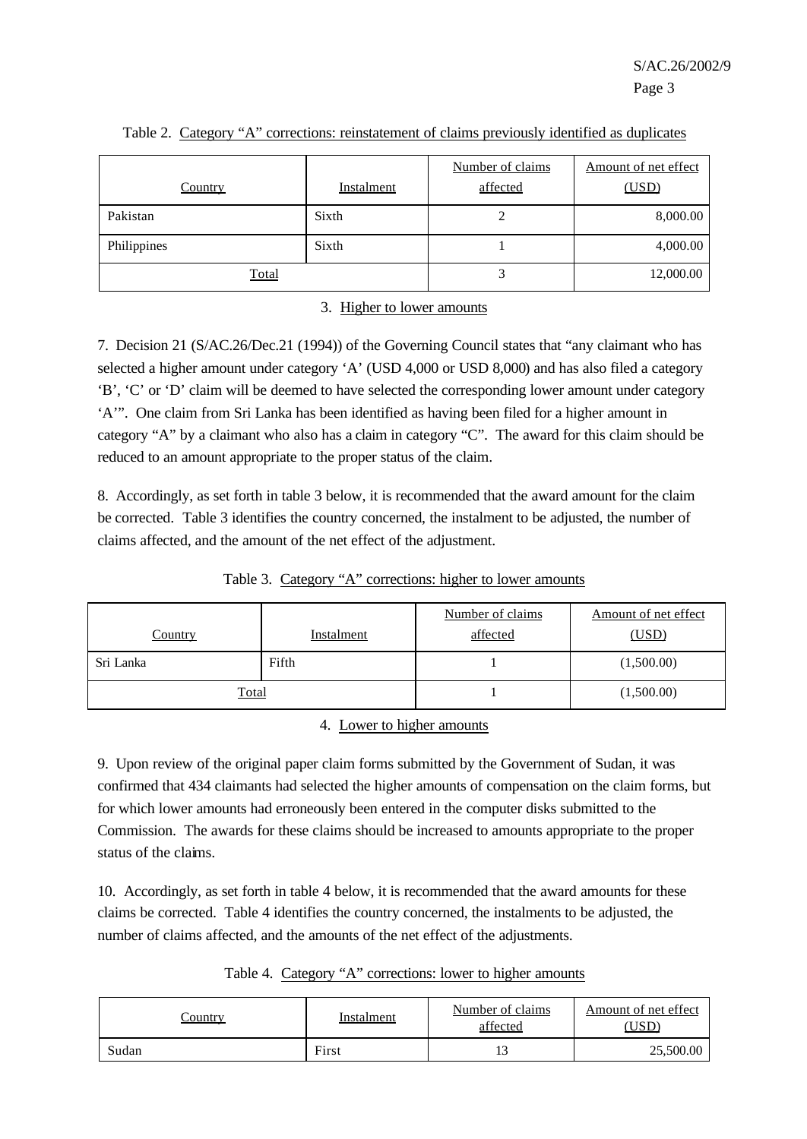| <b>Country</b> | Instalment | Number of claims<br>affected | Amount of net effect<br>(USD) |
|----------------|------------|------------------------------|-------------------------------|
| Pakistan       | Sixth      | າ                            | 8,000.00                      |
| Philippines    | Sixth      |                              | 4,000.00                      |
| Total          |            |                              | 12,000.00                     |

### Table 2. Category "A" corrections: reinstatement of claims previously identified as duplicates

### 3. Higher to lower amounts

7. Decision 21 (S/AC.26/Dec.21 (1994)) of the Governing Council states that "any claimant who has selected a higher amount under category 'A' (USD 4,000 or USD 8,000) and has also filed a category 'B', 'C' or 'D' claim will be deemed to have selected the corresponding lower amount under category 'A'". One claim from Sri Lanka has been identified as having been filed for a higher amount in category "A" by a claimant who also has a claim in category "C". The award for this claim should be reduced to an amount appropriate to the proper status of the claim.

8. Accordingly, as set forth in table 3 below, it is recommended that the award amount for the claim be corrected. Table 3 identifies the country concerned, the instalment to be adjusted, the number of claims affected, and the amount of the net effect of the adjustment.

| <b>Country</b> | <b>Instalment</b> | Number of claims<br>affected | Amount of net effect<br>(USD) |
|----------------|-------------------|------------------------------|-------------------------------|
| Sri Lanka      | Fifth             |                              | (1,500.00)                    |
| Total          |                   |                              | (1,500.00)                    |

Table 3. Category "A" corrections: higher to lower amounts

4. Lower to higher amounts

9. Upon review of the original paper claim forms submitted by the Government of Sudan, it was confirmed that 434 claimants had selected the higher amounts of compensation on the claim forms, but for which lower amounts had erroneously been entered in the computer disks submitted to the Commission. The awards for these claims should be increased to amounts appropriate to the proper status of the claims.

10. Accordingly, as set forth in table 4 below, it is recommended that the award amounts for these claims be corrected. Table 4 identifies the country concerned, the instalments to be adjusted, the number of claims affected, and the amounts of the net effect of the adjustments.

Table 4. Category "A" corrections: lower to higher amounts

| `ountry | Instalment | Number of claims<br>affected | Amount of net effect<br>JSD` |
|---------|------------|------------------------------|------------------------------|
| Sudan   | First      |                              | 25,500.00                    |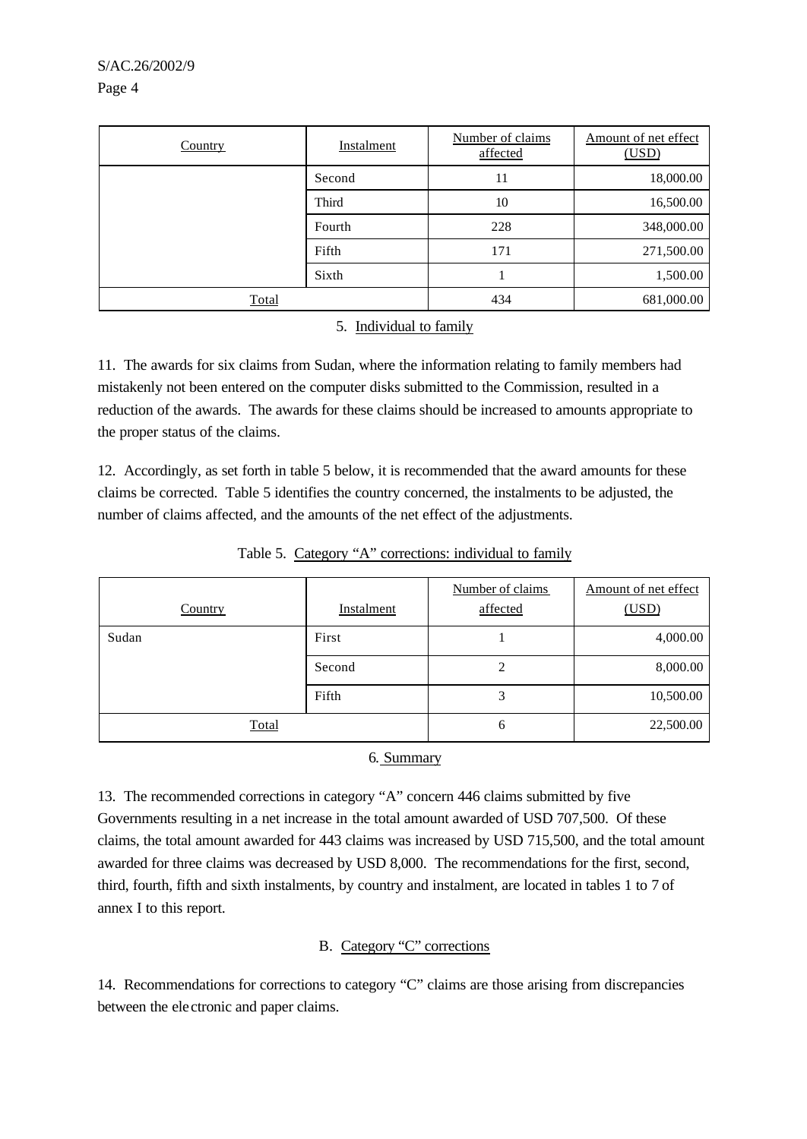| Country | <b>Instalment</b> | Number of claims<br>affected | Amount of net effect<br>(USD) |
|---------|-------------------|------------------------------|-------------------------------|
|         | Second            | 11                           | 18,000.00                     |
|         | Third             | 10                           | 16,500.00                     |
|         | Fourth            | 228                          | 348,000.00                    |
|         | Fifth             | 171                          | 271,500.00                    |
|         | Sixth             |                              | 1,500.00                      |
| Total   |                   | 434                          | 681,000.00                    |

#### 5. Individual to family

11. The awards for six claims from Sudan, where the information relating to family members had mistakenly not been entered on the computer disks submitted to the Commission, resulted in a reduction of the awards. The awards for these claims should be increased to amounts appropriate to the proper status of the claims.

12. Accordingly, as set forth in table 5 below, it is recommended that the award amounts for these claims be corrected. Table 5 identifies the country concerned, the instalments to be adjusted, the number of claims affected, and the amounts of the net effect of the adjustments.

|                |            | Number of claims | Amount of net effect |
|----------------|------------|------------------|----------------------|
| <b>Country</b> | Instalment | affected         | (USD)                |
| Sudan          | First      |                  | 4,000.00             |
|                | Second     | ◠                | 8,000.00             |
|                | Fifth      | 3                | 10,500.00            |
| Total          |            | 6                | 22,500.00            |

Table 5. Category "A" corrections: individual to family

6. Summary

13. The recommended corrections in category "A" concern 446 claims submitted by five Governments resulting in a net increase in the total amount awarded of USD 707,500. Of these claims, the total amount awarded for 443 claims was increased by USD 715,500, and the total amount awarded for three claims was decreased by USD 8,000. The recommendations for the first, second, third, fourth, fifth and sixth instalments, by country and instalment, are located in tables 1 to 7 of annex I to this report.

# B. Category "C" corrections

14. Recommendations for corrections to category "C" claims are those arising from discrepancies between the ele ctronic and paper claims.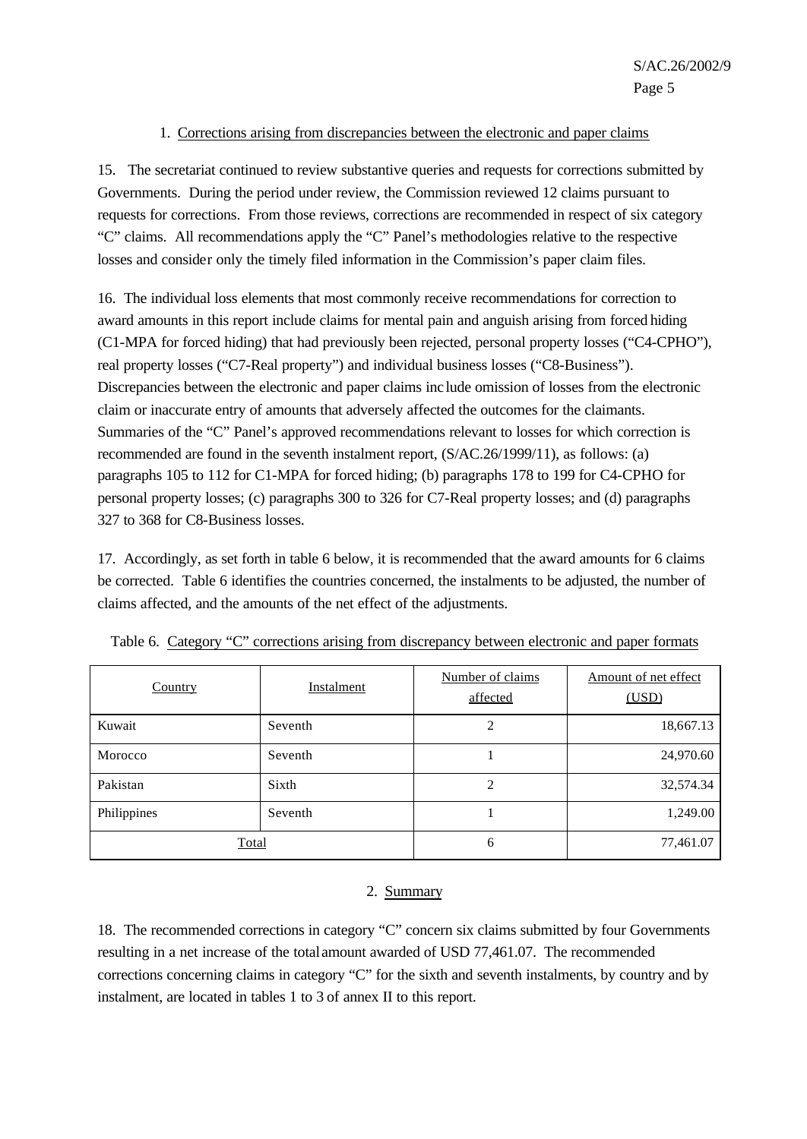#### 1. Corrections arising from discrepancies between the electronic and paper claims

15. The secretariat continued to review substantive queries and requests for corrections submitted by Governments. During the period under review, the Commission reviewed 12 claims pursuant to requests for corrections. From those reviews, corrections are recommended in respect of six category "C" claims. All recommendations apply the "C" Panel's methodologies relative to the respective losses and consider only the timely filed information in the Commission's paper claim files.

16. The individual loss elements that most commonly receive recommendations for correction to award amounts in this report include claims for mental pain and anguish arising from forced hiding (C1-MPA for forced hiding) that had previously been rejected, personal property losses ("C4-CPHO"), real property losses ("C7-Real property") and individual business losses ("C8-Business"). Discrepancies between the electronic and paper claims inc lude omission of losses from the electronic claim or inaccurate entry of amounts that adversely affected the outcomes for the claimants. Summaries of the "C" Panel's approved recommendations relevant to losses for which correction is recommended are found in the seventh instalment report, (S/AC.26/1999/11), as follows: (a) paragraphs 105 to 112 for C1-MPA for forced hiding; (b) paragraphs 178 to 199 for C4-CPHO for personal property losses; (c) paragraphs 300 to 326 for C7-Real property losses; and (d) paragraphs 327 to 368 for C8-Business losses.

17. Accordingly, as set forth in table 6 below, it is recommended that the award amounts for 6 claims be corrected. Table 6 identifies the countries concerned, the instalments to be adjusted, the number of claims affected, and the amounts of the net effect of the adjustments.

| Country      | Instalment | Number of claims<br>affected | Amount of net effect<br>(USD) |
|--------------|------------|------------------------------|-------------------------------|
| Kuwait       | Seventh    | 2                            | 18,667.13                     |
| Morocco      | Seventh    |                              | 24,970.60                     |
| Pakistan     | Sixth      | 2                            | 32,574.34                     |
| Philippines  | Seventh    |                              | 1,249.00                      |
| <b>Total</b> |            | 6                            | 77,461.07                     |

Table 6. Category "C" corrections arising from discrepancy between electronic and paper formats

# 2. Summary

18. The recommended corrections in category "C" concern six claims submitted by four Governments resulting in a net increase of the total amount awarded of USD 77,461.07. The recommended corrections concerning claims in category "C" for the sixth and seventh instalments, by country and by instalment, are located in tables 1 to 3 of annex II to this report.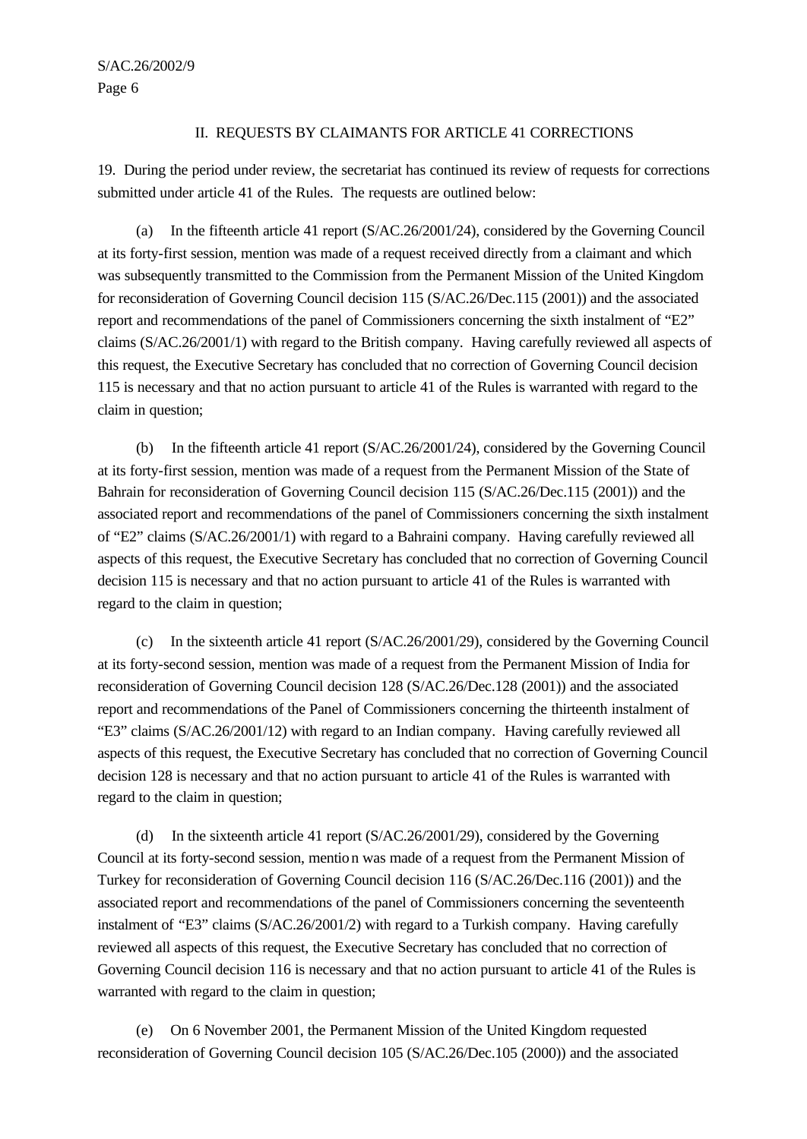#### II. REQUESTS BY CLAIMANTS FOR ARTICLE 41 CORRECTIONS

19. During the period under review, the secretariat has continued its review of requests for corrections submitted under article 41 of the Rules. The requests are outlined below:

(a) In the fifteenth article 41 report (S/AC.26/2001/24), considered by the Governing Council at its forty-first session, mention was made of a request received directly from a claimant and which was subsequently transmitted to the Commission from the Permanent Mission of the United Kingdom for reconsideration of Governing Council decision 115 (S/AC.26/Dec.115 (2001)) and the associated report and recommendations of the panel of Commissioners concerning the sixth instalment of "E2" claims (S/AC.26/2001/1) with regard to the British company. Having carefully reviewed all aspects of this request, the Executive Secretary has concluded that no correction of Governing Council decision 115 is necessary and that no action pursuant to article 41 of the Rules is warranted with regard to the claim in question;

(b) In the fifteenth article 41 report (S/AC.26/2001/24), considered by the Governing Council at its forty-first session, mention was made of a request from the Permanent Mission of the State of Bahrain for reconsideration of Governing Council decision 115 (S/AC.26/Dec.115 (2001)) and the associated report and recommendations of the panel of Commissioners concerning the sixth instalment of "E2" claims (S/AC.26/2001/1) with regard to a Bahraini company. Having carefully reviewed all aspects of this request, the Executive Secretary has concluded that no correction of Governing Council decision 115 is necessary and that no action pursuant to article 41 of the Rules is warranted with regard to the claim in question;

(c) In the sixteenth article 41 report (S/AC.26/2001/29), considered by the Governing Council at its forty-second session, mention was made of a request from the Permanent Mission of India for reconsideration of Governing Council decision 128 (S/AC.26/Dec.128 (2001)) and the associated report and recommendations of the Panel of Commissioners concerning the thirteenth instalment of "E3" claims (S/AC.26/2001/12) with regard to an Indian company.Having carefully reviewed all aspects of this request, the Executive Secretary has concluded that no correction of Governing Council decision 128 is necessary and that no action pursuant to article 41 of the Rules is warranted with regard to the claim in question;

(d) In the sixteenth article 41 report (S/AC.26/2001/29), considered by the Governing Council at its forty-second session, mention was made of a request from the Permanent Mission of Turkey for reconsideration of Governing Council decision 116 (S/AC.26/Dec.116 (2001)) and the associated report and recommendations of the panel of Commissioners concerning the seventeenth instalment of "E3" claims (S/AC.26/2001/2) with regard to a Turkish company. Having carefully reviewed all aspects of this request, the Executive Secretary has concluded that no correction of Governing Council decision 116 is necessary and that no action pursuant to article 41 of the Rules is warranted with regard to the claim in question;

(e) On 6 November 2001, the Permanent Mission of the United Kingdom requested reconsideration of Governing Council decision 105 (S/AC.26/Dec.105 (2000)) and the associated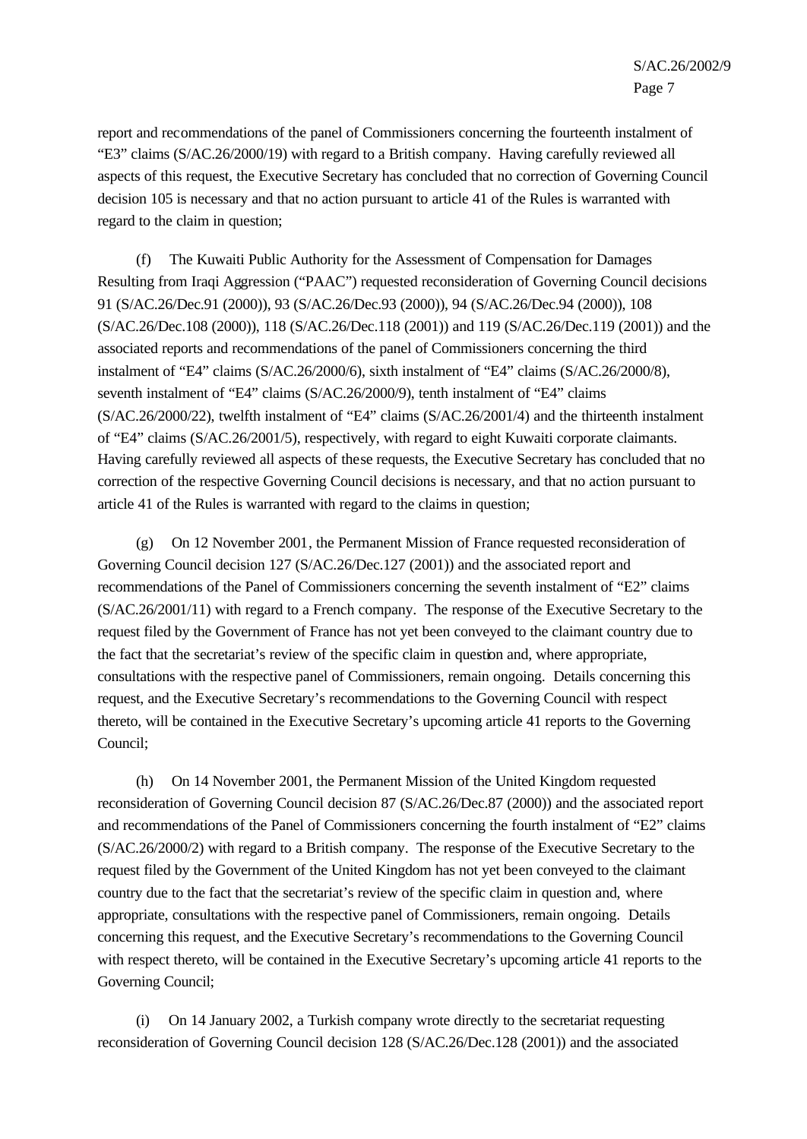report and recommendations of the panel of Commissioners concerning the fourteenth instalment of "E3" claims (S/AC.26/2000/19) with regard to a British company. Having carefully reviewed all aspects of this request, the Executive Secretary has concluded that no correction of Governing Council decision 105 is necessary and that no action pursuant to article 41 of the Rules is warranted with regard to the claim in question;

(f) The Kuwaiti Public Authority for the Assessment of Compensation for Damages Resulting from Iraqi Aggression ("PAAC") requested reconsideration of Governing Council decisions 91 (S/AC.26/Dec.91 (2000)), 93 (S/AC.26/Dec.93 (2000)), 94 (S/AC.26/Dec.94 (2000)), 108 (S/AC.26/Dec.108 (2000)), 118 (S/AC.26/Dec.118 (2001)) and 119 (S/AC.26/Dec.119 (2001)) and the associated reports and recommendations of the panel of Commissioners concerning the third instalment of "E4" claims (S/AC.26/2000/6), sixth instalment of "E4" claims (S/AC.26/2000/8), seventh instalment of "E4" claims (S/AC.26/2000/9), tenth instalment of "E4" claims (S/AC.26/2000/22), twelfth instalment of "E4" claims (S/AC.26/2001/4) and the thirteenth instalment of "E4" claims (S/AC.26/2001/5), respectively, with regard to eight Kuwaiti corporate claimants. Having carefully reviewed all aspects of these requests, the Executive Secretary has concluded that no correction of the respective Governing Council decisions is necessary, and that no action pursuant to article 41 of the Rules is warranted with regard to the claims in question;

(g) On 12 November 2001, the Permanent Mission of France requested reconsideration of Governing Council decision 127 (S/AC.26/Dec.127 (2001)) and the associated report and recommendations of the Panel of Commissioners concerning the seventh instalment of "E2" claims (S/AC.26/2001/11) with regard to a French company. The response of the Executive Secretary to the request filed by the Government of France has not yet been conveyed to the claimant country due to the fact that the secretariat's review of the specific claim in question and, where appropriate, consultations with the respective panel of Commissioners, remain ongoing. Details concerning this request, and the Executive Secretary's recommendations to the Governing Council with respect thereto, will be contained in the Executive Secretary's upcoming article 41 reports to the Governing Council;

(h) On 14 November 2001, the Permanent Mission of the United Kingdom requested reconsideration of Governing Council decision 87 (S/AC.26/Dec.87 (2000)) and the associated report and recommendations of the Panel of Commissioners concerning the fourth instalment of "E2" claims (S/AC.26/2000/2) with regard to a British company. The response of the Executive Secretary to the request filed by the Government of the United Kingdom has not yet been conveyed to the claimant country due to the fact that the secretariat's review of the specific claim in question and, where appropriate, consultations with the respective panel of Commissioners, remain ongoing. Details concerning this request, and the Executive Secretary's recommendations to the Governing Council with respect thereto, will be contained in the Executive Secretary's upcoming article 41 reports to the Governing Council;

(i) On 14 January 2002, a Turkish company wrote directly to the secretariat requesting reconsideration of Governing Council decision 128 (S/AC.26/Dec.128 (2001)) and the associated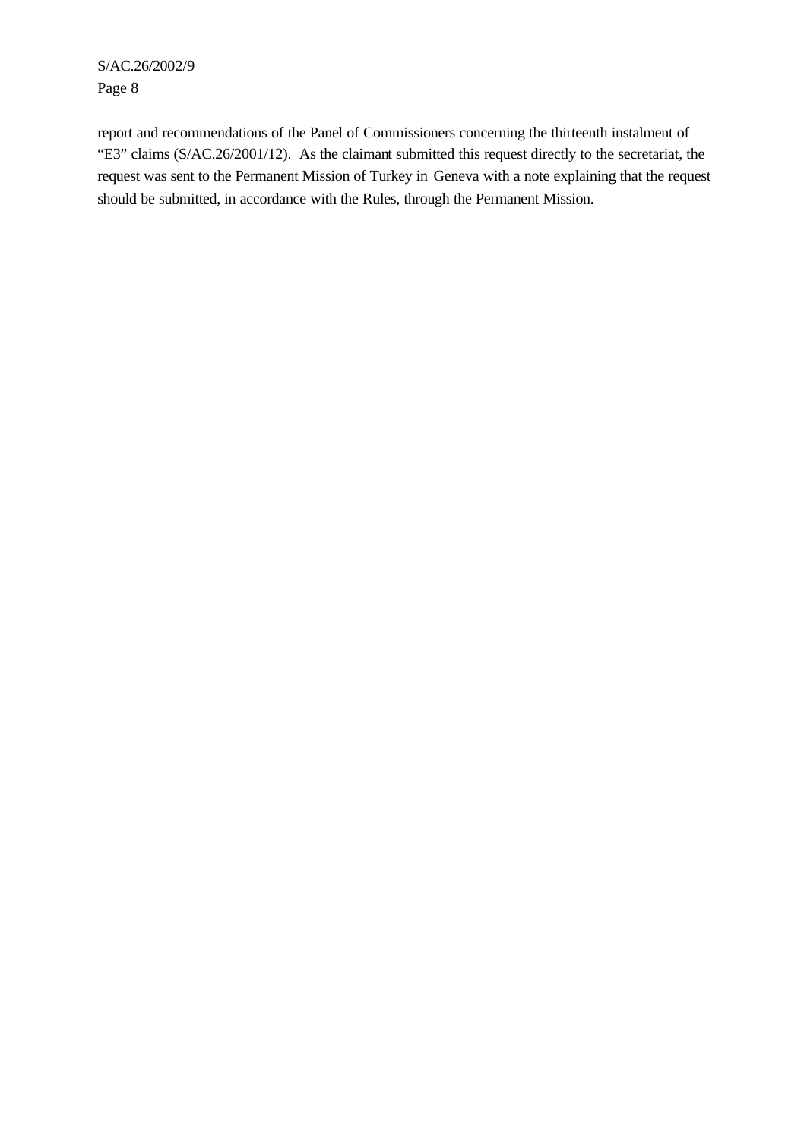report and recommendations of the Panel of Commissioners concerning the thirteenth instalment of "E3" claims (S/AC.26/2001/12). As the claimant submitted this request directly to the secretariat, the request was sent to the Permanent Mission of Turkey in Geneva with a note explaining that the request should be submitted, in accordance with the Rules, through the Permanent Mission.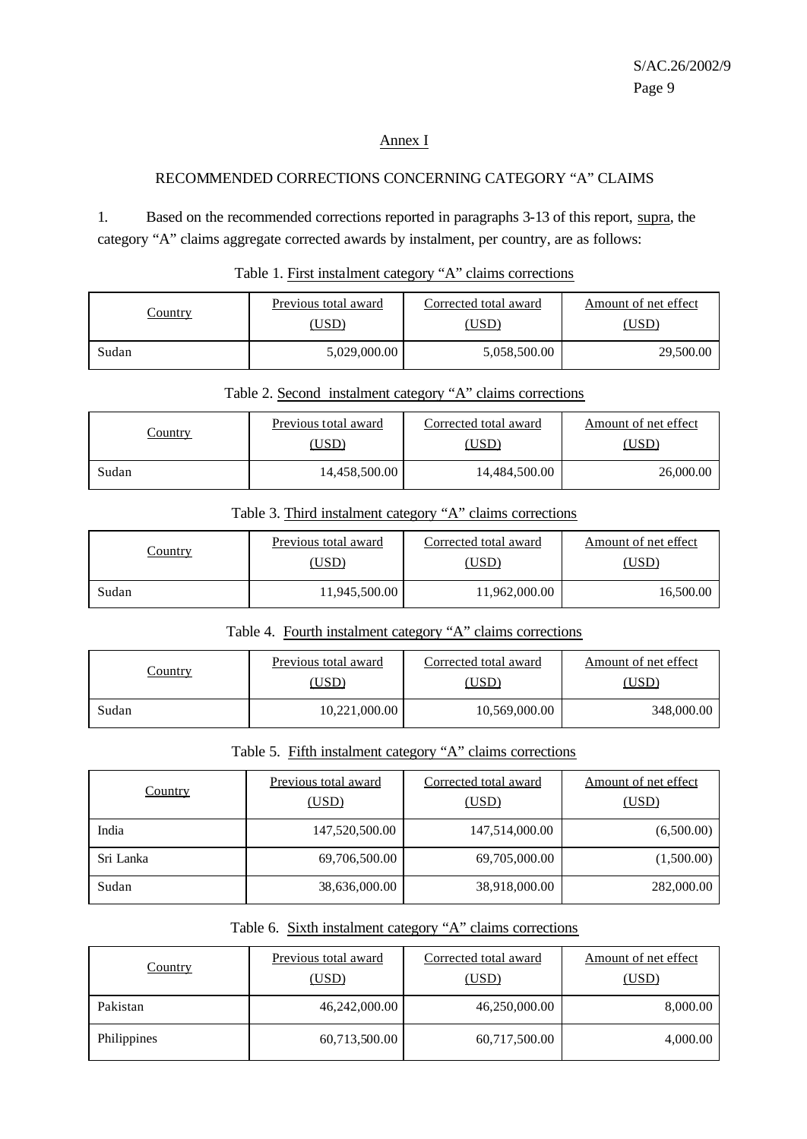#### Annex I

### RECOMMENDED CORRECTIONS CONCERNING CATEGORY "A" CLAIMS

1. Based on the recommended corrections reported in paragraphs 3-13 of this report, supra, the category "A" claims aggregate corrected awards by instalment, per country, are as follows:

| Country | Previous total award | Corrected total award | Amount of net effect |
|---------|----------------------|-----------------------|----------------------|
|         | [USD                 | (USD                  | USD)                 |
| Sudan   | 5,029,000.00         | 5,058,500.00          | 29,500.00            |

#### Table 1. First instalment category "A" claims corrections

| Country | Previous total award | Corrected total award | Amount of net effect |
|---------|----------------------|-----------------------|----------------------|
|         | (USD                 | <u>(USD</u>           | <u>USD)</u>          |
| Sudan   | 14,458,500.00        | 14.484.500.00         | 26,000.00            |

Table 2. Second instalment category "A" claims corrections

#### Table 3. Third instalment category "A" claims corrections

| <u>Country</u> | Previous total award | Corrected total award | Amount of net effect |
|----------------|----------------------|-----------------------|----------------------|
|                | [USD                 | 'USD                  | <u>USD)</u>          |
| Sudan          | 11,945,500.00        | 11,962,000.00         | 16.500.00            |

### Table 4. Fourth instalment category "A" claims corrections

| <u>Country</u> | Previous total award | Corrected total award | Amount of net effect |
|----------------|----------------------|-----------------------|----------------------|
|                | USD)                 | (USD                  | <u>USD)</u>          |
| Sudan          | 10,221,000.00        | 10,569,000.00         | 348,000.00           |

#### Table 5. Fifth instalment category "A" claims corrections

| Country   | Previous total award<br>(USD) | Corrected total award<br>(USD) | Amount of net effect<br>(USD) |
|-----------|-------------------------------|--------------------------------|-------------------------------|
| India     | 147,520,500.00                | 147,514,000.00                 | (6,500.00)                    |
| Sri Lanka | 69,706,500.00                 | 69,705,000.00                  | (1,500.00)                    |
| Sudan     | 38,636,000.00                 | 38,918,000.00                  | 282,000.00                    |

# Table 6. Sixth instalment category "A" claims corrections

| <b>Country</b> | Previous total award<br>(USD) | Corrected total award<br>(USD) | Amount of net effect<br>(USD) |
|----------------|-------------------------------|--------------------------------|-------------------------------|
| Pakistan       | 46,242,000.00                 | 46,250,000.00                  | 8,000.00                      |
| Philippines    | 60,713,500.00                 | 60,717,500.00                  | 4,000.00                      |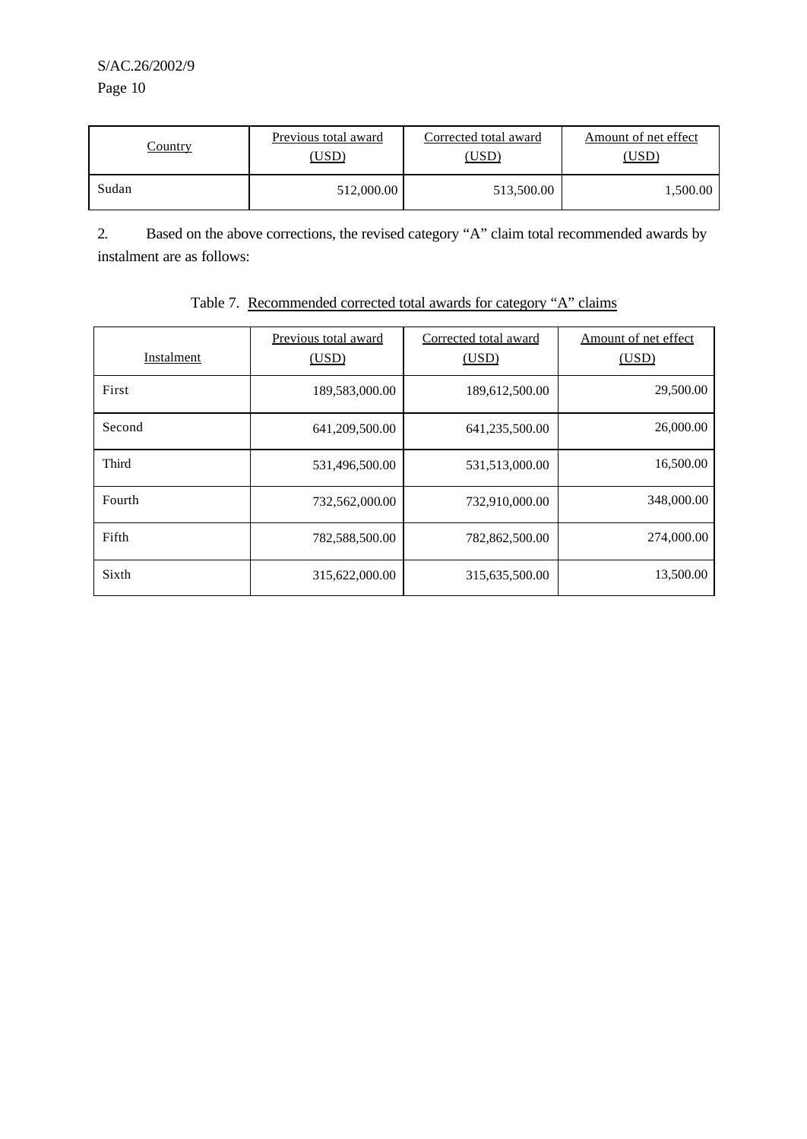| Country | Previous total award | Corrected total award | Amount of net effect |
|---------|----------------------|-----------------------|----------------------|
|         | USD)                 | USD)                  | USD)                 |
| Sudan   | 512,000.00           | 513,500.00            | 500.00. ا            |

2. Based on the above corrections, the revised category "A" claim total recommended awards by instalment are as follows:

| Instalment | Previous total award<br>(USD) | Corrected total award<br>(USD) | Amount of net effect<br>(USD) |
|------------|-------------------------------|--------------------------------|-------------------------------|
| First      | 189,583,000.00                | 189,612,500.00                 | 29,500.00                     |
| Second     | 641,209,500.00                | 641,235,500.00                 | 26,000.00                     |
| Third      | 531,496,500.00                | 531,513,000.00                 | 16,500.00                     |
| Fourth     | 732,562,000.00                | 732,910,000.00                 | 348,000.00                    |
| Fifth      | 782,588,500.00                | 782,862,500.00                 | 274,000.00                    |
| Sixth      | 315,622,000.00                | 315,635,500.00                 | 13,500.00                     |

# Table 7. Recommended corrected total awards for category "A" claims